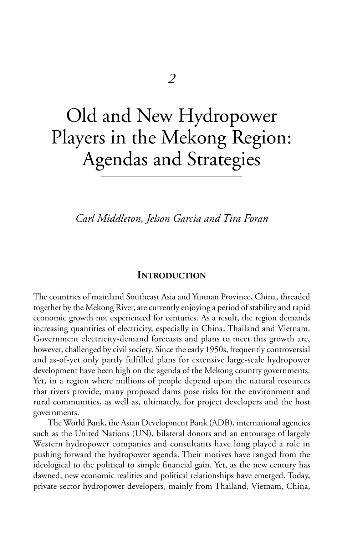# Old and New Hydropower Players in the Mekong Region: Agendas and Strategies

*Carl Middleton, Jelson Garcia and Tira Foran*

#### **INTRODUCTION**

The countries of mainland Southeast Asia and Yunnan Province, China, threaded together by the Mekong River, are currently enjoying a period of stability and rapid economic growth not experienced for centuries. As a result, the region demands increasing quantities of electricity, especially in China, Thailand and Vietnam. Government electricity-demand forecasts and plans to meet this growth are, however, challenged by civil society. Since the early 1950s, frequently controversial and as-of-yet only partly fulfilled plans for extensive large-scale hydropower development have been high on the agenda of the Mekong country governments. Yet, in a region where millions of people depend upon the natural resources that rivers provide, many proposed dams pose risks for the environment and rural communities, as well as, ultimately, for project developers and the host governments.

The World Bank, the Asian Development Bank (ADB), international agencies such as the United Nations (UN), bilateral donors and an entourage of largely Western hydropower companies and consultants have long played a role in pushing forward the hydropower agenda. Their motives have ranged from the ideological to the political to simple financial gain. Yet, as the new century has dawned, new economic realities and political relationships have emerged. Today, private-sector hydropower developers, mainly from Thailand, Vietnam, China,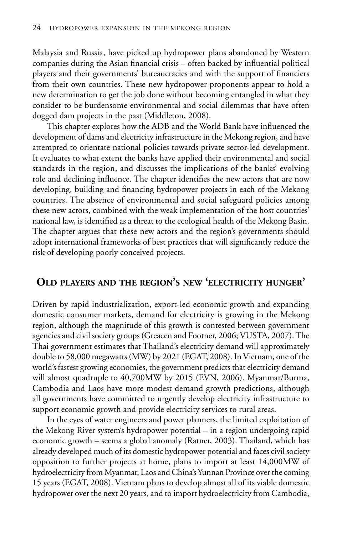Malaysia and Russia, have picked up hydropower plans abandoned by Western companies during the Asian financial crisis - often backed by influential political players and their governments' bureaucracies and with the support of financiers from their own countries. These new hydropower proponents appear to hold a new determination to get the job done without becoming entangled in what they consider to be burdensome environmental and social dilemmas that have often dogged dam projects in the past (Middleton, 2008).

This chapter explores how the ADB and the World Bank have influenced the development of dams and electricity infrastructure in the Mekong region, and have attempted to orientate national policies towards private sector-led development. It evaluates to what extent the banks have applied their environmental and social standards in the region, and discusses the implications of the banks' evolving role and declining influence. The chapter identifies the new actors that are now developing, building and financing hydropower projects in each of the Mekong countries. The absence of environmental and social safeguard policies among these new actors, combined with the weak implementation of the host countries' national law, is identified as a threat to the ecological health of the Mekong Basin. The chapter argues that these new actors and the region's governments should adopt international frameworks of best practices that will significantly reduce the risk of developing poorly conceived projects.

#### **OLD PLAYERS AND THE REGION'S NEW 'ELECTRICITY HUNGER'**

Driven by rapid industrialization, export-led economic growth and expanding domestic consumer markets, demand for electricity is growing in the Mekong region, although the magnitude of this growth is contested between government agencies and civil society groups (Greacen and Footner, 2006; VUSTA, 2007). The Thai government estimates that Thailand's electricity demand will approximately double to 58,000 megawatts (MW) by 2021 (EGAT, 2008). In Vietnam, one of the world's fastest growing economies, the government predicts that electricity demand will almost quadruple to 40,700MW by 2015 (EVN, 2006). Myanmar/Burma, Cambodia and Laos have more modest demand growth predictions, although all governments have committed to urgently develop electricity infrastructure to support economic growth and provide electricity services to rural areas.

In the eyes of water engineers and power planners, the limited exploitation of the Mekong River system's hydropower potential – in a region undergoing rapid economic growth – seems a global anomaly (Ratner, 2003). Thailand, which has already developed much of its domestic hydropower potential and faces civil society opposition to further projects at home, plans to import at least 14,000MW of hydroelectricity from Myanmar, Laos and China's Yunnan Province over the coming 15 years (EGAT, 2008). Vietnam plans to develop almost all of its viable domestic hydropower over the next 20 years, and to import hydroelectricity from Cambodia,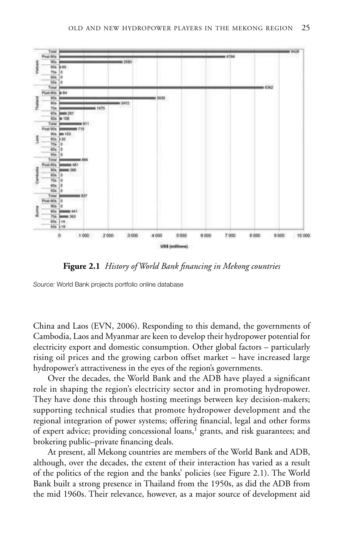

**Figure 2.1** *History of World Bank financing in Mekong countries* 

*Source:* World Bank projects portfolio online database

China and Laos (EVN, 2006). Responding to this demand, the governments of Cambodia, Laos and Myanmar are keen to develop their hydropower potential for electricity export and domestic consumption. Other global factors – particularly rising oil prices and the growing carbon offset market – have increased large hydropower's attractiveness in the eyes of the region's governments.

Over the decades, the World Bank and the ADB have played a significant role in shaping the region's electricity sector and in promoting hydropower. They have done this through hosting meetings between key decision-makers; supporting technical studies that promote hydropower development and the regional integration of power systems; offering financial, legal and other forms of expert advice; providing concessional loans,<sup>1</sup> grants, and risk guarantees; and brokering public–private financing deals.

At present, all Mekong countries are members of the World Bank and ADB, although, over the decades, the extent of their interaction has varied as a result of the politics of the region and the banks' policies (see Figure 2.1). The World Bank built a strong presence in Thailand from the 1950s, as did the ADB from the mid 1960s. Their relevance, however, as a major source of development aid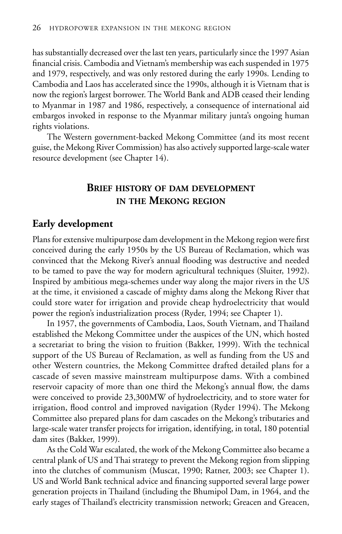has substantially decreased over the last ten years, particularly since the 1997 Asian financial crisis. Cambodia and Vietnam's membership was each suspended in 1975 and 1979, respectively, and was only restored during the early 1990s. Lending to Cambodia and Laos has accelerated since the 1990s, although it is Vietnam that is now the region's largest borrower. The World Bank and ADB ceased their lending to Myanmar in 1987 and 1986, respectively, a consequence of international aid embargos invoked in response to the Myanmar military junta's ongoing human rights violations.

The Western government-backed Mekong Committee (and its most recent guise, the Mekong River Commission) has also actively supported large-scale water resource development (see Chapter 14).

## **BRIEF HISTORY OF DAM DEVELOPMENT IN THE MEKONG REGION**

#### **Early development**

Plans for extensive multipurpose dam development in the Mekong region were first conceived during the early 1950s by the US Bureau of Reclamation, which was convinced that the Mekong River's annual flooding was destructive and needed to be tamed to pave the way for modern agricultural techniques (Sluiter, 1992). Inspired by ambitious mega-schemes under way along the major rivers in the US at the time, it envisioned a cascade of mighty dams along the Mekong River that could store water for irrigation and provide cheap hydroelectricity that would power the region's industrialization process (Ryder, 1994; see Chapter 1).

In 1957, the governments of Cambodia, Laos, South Vietnam, and Thailand established the Mekong Committee under the auspices of the UN, which hosted a secretariat to bring the vision to fruition (Bakker, 1999). With the technical support of the US Bureau of Reclamation, as well as funding from the US and other Western countries, the Mekong Committee drafted detailed plans for a cascade of seven massive mainstream multipurpose dams. With a combined reservoir capacity of more than one third the Mekong's annual flow, the dams were conceived to provide 23,300MW of hydroelectricity, and to store water for irrigation, flood control and improved navigation (Ryder 1994). The Mekong Committee also prepared plans for dam cascades on the Mekong's tributaries and large-scale water transfer projects for irrigation, identifying, in total, 180 potential dam sites (Bakker, 1999).

As the Cold War escalated, the work of the Mekong Committee also became a central plank of US and Thai strategy to prevent the Mekong region from slipping into the clutches of communism (Muscat, 1990; Ratner, 2003; see Chapter 1). US and World Bank technical advice and financing supported several large power generation projects in Thailand (including the Bhumipol Dam, in 1964, and the early stages of Thailand's electricity transmission network; Greacen and Greacen,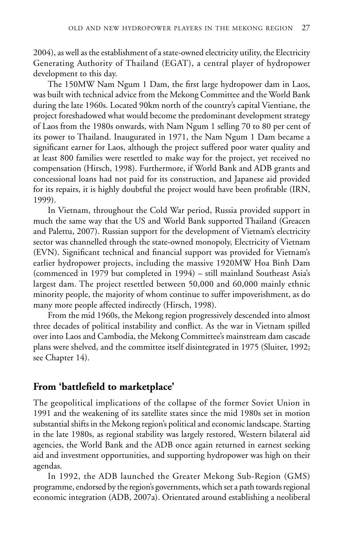2004), as well as the establishment of a state-owned electricity utility, the Electricity Generating Authority of Thailand (EGAT), a central player of hydropower development to this day.

The 150MW Nam Ngum 1 Dam, the first large hydropower dam in Laos, was built with technical advice from the Mekong Committee and the World Bank during the late 1960s. Located 90km north of the country's capital Vientiane, the project foreshadowed what would become the predominant development strategy of Laos from the 1980s onwards, with Nam Ngum 1 selling 70 to 80 per cent of its power to Thailand. Inaugurated in 1971, the Nam Ngum 1 Dam became a significant earner for Laos, although the project suffered poor water quality and at least 800 families were resettled to make way for the project, yet received no compensation (Hirsch, 1998). Furthermore, if World Bank and ADB grants and concessional loans had not paid for its construction, and Japanese aid provided for its repairs, it is highly doubtful the project would have been profitable (IRN, 1999).

In Vietnam, throughout the Cold War period, Russia provided support in much the same way that the US and World Bank supported Thailand (Greacen and Palettu, 2007). Russian support for the development of Vietnam's electricity sector was channelled through the state-owned monopoly, Electricity of Vietnam (EVN). Significant technical and financial support was provided for Vietnam's earlier hydropower projects, including the massive 1920MW Hoa Binh Dam (commenced in 1979 but completed in 1994) – still mainland Southeast Asia's largest dam. The project resettled between 50,000 and 60,000 mainly ethnic minority people, the majority of whom continue to suffer impoverishment, as do many more people affected indirectly (Hirsch, 1998).

From the mid 1960s, the Mekong region progressively descended into almost three decades of political instability and conflict. As the war in Vietnam spilled over into Laos and Cambodia, the Mekong Committee's mainstream dam cascade plans were shelved, and the committee itself disintegrated in 1975 (Sluiter, 1992; see Chapter 14).

#### From 'battlefield to marketplace'

The geopolitical implications of the collapse of the former Soviet Union in 1991 and the weakening of its satellite states since the mid 1980s set in motion substantial shifts in the Mekong region's political and economic landscape. Starting in the late 1980s, as regional stability was largely restored, Western bilateral aid agencies, the World Bank and the ADB once again returned in earnest seeking aid and investment opportunities, and supporting hydropower was high on their agendas.

In 1992, the ADB launched the Greater Mekong Sub-Region (GMS) programme, endorsed by the region's governments, which set a path towards regional economic integration (ADB, 2007a). Orientated around establishing a neoliberal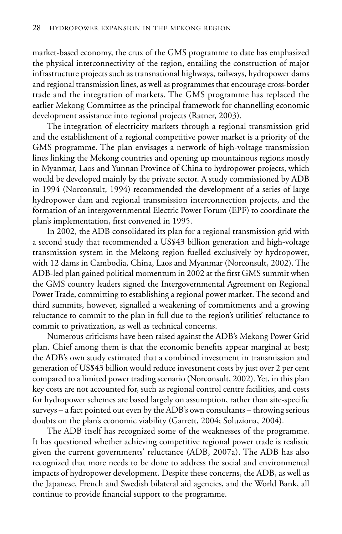market-based economy, the crux of the GMS programme to date has emphasized the physical interconnectivity of the region, entailing the construction of major infrastructure projects such as transnational highways, railways, hydropower dams and regional transmission lines, as well as programmes that encourage cross-border trade and the integration of markets. The GMS programme has replaced the earlier Mekong Committee as the principal framework for channelling economic development assistance into regional projects (Ratner, 2003).

The integration of electricity markets through a regional transmission grid and the establishment of a regional competitive power market is a priority of the GMS programme. The plan envisages a network of high-voltage transmission lines linking the Mekong countries and opening up mountainous regions mostly in Myanmar, Laos and Yunnan Province of China to hydropower projects, which would be developed mainly by the private sector. A study commissioned by ADB in 1994 (Norconsult, 1994) recommended the development of a series of large hydropower dam and regional transmission interconnection projects, and the formation of an intergovernmental Electric Power Forum (EPF) to coordinate the plan's implementation, first convened in 1995.

In 2002, the ADB consolidated its plan for a regional transmission grid with a second study that recommended a US\$43 billion generation and high-voltage transmission system in the Mekong region fuelled exclusively by hydropower, with 12 dams in Cambodia, China, Laos and Myanmar (Norconsult, 2002). The ADB-led plan gained political momentum in 2002 at the first GMS summit when the GMS country leaders signed the Intergovernmental Agreement on Regional Power Trade, committing to establishing a regional power market. The second and third summits, however, signalled a weakening of commitments and a growing reluctance to commit to the plan in full due to the region's utilities' reluctance to commit to privatization, as well as technical concerns.

Numerous criticisms have been raised against the ADB's Mekong Power Grid plan. Chief among them is that the economic benefits appear marginal at best; the ADB's own study estimated that a combined investment in transmission and generation of US\$43 billion would reduce investment costs by just over 2 per cent compared to a limited power trading scenario (Norconsult, 2002). Yet, in this plan key costs are not accounted for, such as regional control centre facilities, and costs for hydropower schemes are based largely on assumption, rather than site-specific surveys – a fact pointed out even by the ADB's own consultants – throwing serious doubts on the plan's economic viability (Garrett, 2004; Soluziona, 2004).

The ADB itself has recognized some of the weaknesses of the programme. It has questioned whether achieving competitive regional power trade is realistic given the current governments' reluctance (ADB, 2007a). The ADB has also recognized that more needs to be done to address the social and environmental impacts of hydropower development. Despite these concerns, the ADB, as well as the Japanese, French and Swedish bilateral aid agencies, and the World Bank, all continue to provide financial support to the programme.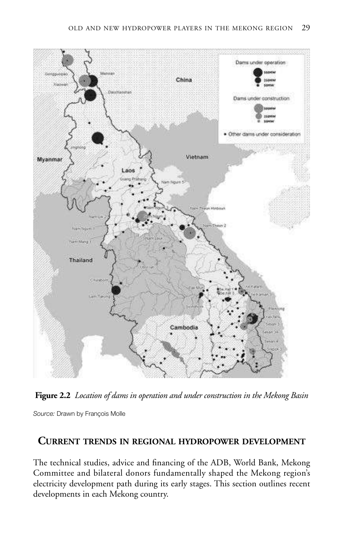

**Figure 2.2** *Location of dams in operation and under construction in the Mekong Basin*

*Source:* Drawn by François Molle

#### **CURRENT TRENDS IN REGIONAL HYDROPOWER DEVELOPMENT**

The technical studies, advice and financing of the ADB, World Bank, Mekong Committee and bilateral donors fundamentally shaped the Mekong region's electricity development path during its early stages. This section outlines recent developments in each Mekong country.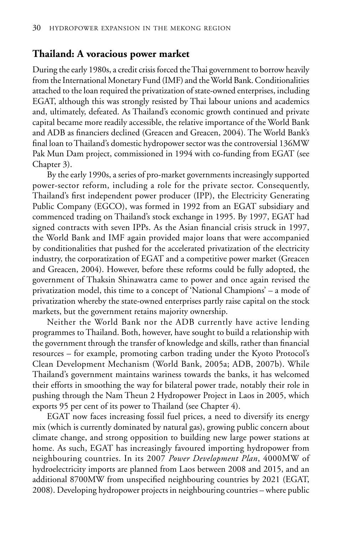#### **Thailand: A voracious power market**

During the early 1980s, a credit crisis forced the Thai government to borrow heavily from the International Monetary Fund (IMF) and the World Bank. Conditionalities attached to the loan required the privatization of state-owned enterprises, including EGAT, although this was strongly resisted by Thai labour unions and academics and, ultimately, defeated. As Thailand's economic growth continued and private capital became more readily accessible, the relative importance of the World Bank and ADB as financiers declined (Greacen and Greacen, 2004). The World Bank's final loan to Thailand's domestic hydropower sector was the controversial 136MW Pak Mun Dam project, commissioned in 1994 with co-funding from EGAT (see Chapter 3).

By the early 1990s, a series of pro-market governments increasingly supported power-sector reform, including a role for the private sector. Consequently, Thailand's first independent power producer (IPP), the Electricity Generating Public Company (EGCO), was formed in 1992 from an EGAT subsidiary and commenced trading on Thailand's stock exchange in 1995. By 1997, EGAT had signed contracts with seven IPPs. As the Asian financial crisis struck in 1997, the World Bank and IMF again provided major loans that were accompanied by conditionalities that pushed for the accelerated privatization of the electricity industry, the corporatization of EGAT and a competitive power market (Greacen and Greacen, 2004). However, before these reforms could be fully adopted, the government of Thaksin Shinawatra came to power and once again revised the privatization model, this time to a concept of 'National Champions' – a mode of privatization whereby the state-owned enterprises partly raise capital on the stock markets, but the government retains majority ownership.

Neither the World Bank nor the ADB currently have active lending programmes to Thailand. Both, however, have sought to build a relationship with the government through the transfer of knowledge and skills, rather than financial resources – for example, promoting carbon trading under the Kyoto Protocol's Clean Development Mechanism (World Bank, 2005a; ADB, 2007b). While Thailand's government maintains wariness towards the banks, it has welcomed their efforts in smoothing the way for bilateral power trade, notably their role in pushing through the Nam Theun 2 Hydropower Project in Laos in 2005, which exports 95 per cent of its power to Thailand (see Chapter 4).

EGAT now faces increasing fossil fuel prices, a need to diversify its energy mix (which is currently dominated by natural gas), growing public concern about climate change, and strong opposition to building new large power stations at home. As such, EGAT has increasingly favoured importing hydropower from neighbouring countries. In its 2007 *Power Development Plan*, 4000MW of hydroelectricity imports are planned from Laos between 2008 and 2015, and an additional 8700MW from unspecified neighbouring countries by 2021 (EGAT, 2008). Developing hydropower projects in neighbouring countries – where public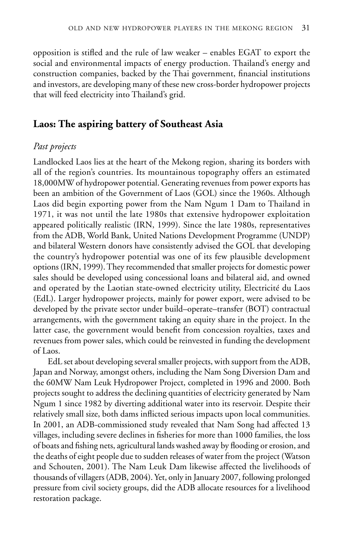opposition is stifled and the rule of law weaker  $-$  enables EGAT to export the social and environmental impacts of energy production. Thailand's energy and construction companies, backed by the Thai government, financial institutions and investors, are developing many of these new cross-border hydropower projects that will feed electricity into Thailand's grid.

#### **Laos: The aspiring battery of Southeast Asia**

#### *Past projects*

Landlocked Laos lies at the heart of the Mekong region, sharing its borders with all of the region's countries. Its mountainous topography offers an estimated 18,000MW of hydropower potential. Generating revenues from power exports has been an ambition of the Government of Laos (GOL) since the 1960s. Although Laos did begin exporting power from the Nam Ngum 1 Dam to Thailand in 1971, it was not until the late 1980s that extensive hydropower exploitation appeared politically realistic (IRN, 1999). Since the late 1980s, representatives from the ADB, World Bank, United Nations Development Programme (UNDP) and bilateral Western donors have consistently advised the GOL that developing the country's hydropower potential was one of its few plausible development options (IRN, 1999). They recommended that smaller projects for domestic power sales should be developed using concessional loans and bilateral aid, and owned and operated by the Laotian state-owned electricity utility, Electricité du Laos (EdL). Larger hydropower projects, mainly for power export, were advised to be developed by the private sector under build–operate–transfer (BOT) contractual arrangements, with the government taking an equity share in the project. In the latter case, the government would benefit from concession royalties, taxes and revenues from power sales, which could be reinvested in funding the development of Laos.

EdL set about developing several smaller projects, with support from the ADB, Japan and Norway, amongst others, including the Nam Song Diversion Dam and the 60MW Nam Leuk Hydropower Project, completed in 1996 and 2000. Both projects sought to address the declining quantities of electricity generated by Nam Ngum 1 since 1982 by diverting additional water into its reservoir. Despite their relatively small size, both dams inflicted serious impacts upon local communities. In 2001, an ADB-commissioned study revealed that Nam Song had affected 13 villages, including severe declines in fisheries for more than 1000 families, the loss of boats and fishing nets, agricultural lands washed away by flooding or erosion, and the deaths of eight people due to sudden releases of water from the project (Watson and Schouten, 2001). The Nam Leuk Dam likewise affected the livelihoods of thousands of villagers (ADB, 2004). Yet, only in January 2007, following prolonged pressure from civil society groups, did the ADB allocate resources for a livelihood restoration package.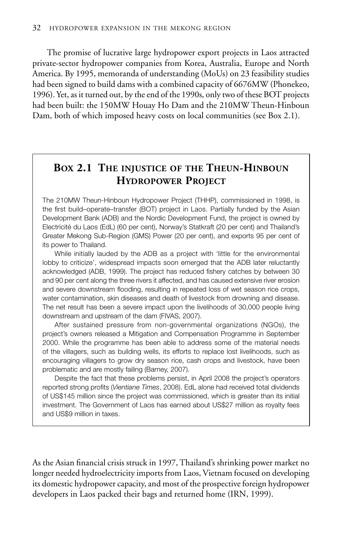The promise of lucrative large hydropower export projects in Laos attracted private-sector hydropower companies from Korea, Australia, Europe and North America. By 1995, memoranda of understanding (MoUs) on 23 feasibility studies had been signed to build dams with a combined capacity of 6676MW (Phonekeo, 1996). Yet, as it turned out, by the end of the 1990s, only two of these BOT projects had been built: the 150MW Houay Ho Dam and the 210MW Theun-Hinboun Dam, both of which imposed heavy costs on local communities (see Box 2.1).

## **BOX 2.1 THE INJUSTICE OF THE THEUN-HINBOUN HYDROPOWER PROJECT**

The 210MW Theun-Hinboun Hydropower Project (THHP), commissioned in 1998, is the first build–operate–transfer (BOT) project in Laos. Partially funded by the Asian Development Bank (ADB) and the Nordic Development Fund, the project is owned by Electricité du Laos (EdL) (60 per cent), Norway's Statkraft (20 per cent) and Thailand's Greater Mekong Sub-Region (GMS) Power (20 per cent), and exports 95 per cent of its power to Thailand.

While initially lauded by the ADB as a project with 'little for the environmental lobby to criticize', widespread impacts soon emerged that the ADB later reluctantly acknowledged (ADB, 1999). The project has reduced fishery catches by between 30 and 90 per cent along the three rivers it affected, and has caused extensive river erosion and severe downstream flooding, resulting in repeated loss of wet season rice crops, water contamination, skin diseases and death of livestock from drowning and disease. The net result has been a severe impact upon the livelihoods of 30,000 people living downstream and upstream of the dam (FIVAS, 2007).

 After sustained pressure from non-governmental organizations (NGOs), the project's owners released a Mitigation and Compensation Programme in September 2000. While the programme has been able to address some of the material needs of the villagers, such as building wells, its efforts to replace lost livelihoods, such as encouraging villagers to grow dry season rice, cash crops and livestock, have been problematic and are mostly failing (Barney, 2007).

 Despite the fact that these problems persist, in April 2008 the project's operators reported strong profits (*Vientiane Times*, 2008). EdL alone had received total dividends of US\$145 million since the project was commissioned, which is greater than its initial investment. The Government of Laos has earned about US\$27 million as royalty fees and US\$9 million in taxes.

As the Asian financial crisis struck in 1997, Thailand's shrinking power market no longer needed hydroelectricity imports from Laos, Vietnam focused on developing its domestic hydropower capacity, and most of the prospective foreign hydropower developers in Laos packed their bags and returned home (IRN, 1999).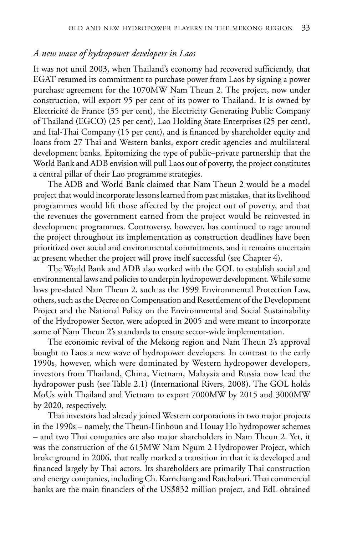#### *A new wave of hydropower developers in Laos*

It was not until 2003, when Thailand's economy had recovered sufficiently, that EGAT resumed its commitment to purchase power from Laos by signing a power purchase agreement for the 1070MW Nam Theun 2. The project, now under construction, will export 95 per cent of its power to Thailand. It is owned by Electricité de France (35 per cent), the Electricity Generating Public Company of Thailand (EGCO) (25 per cent), Lao Holding State Enterprises (25 per cent), and Ital-Thai Company (15 per cent), and is financed by shareholder equity and loans from 27 Thai and Western banks, export credit agencies and multilateral development banks. Epitomizing the type of public–private partnership that the World Bank and ADB envision will pull Laos out of poverty, the project constitutes a central pillar of their Lao programme strategies.

The ADB and World Bank claimed that Nam Theun 2 would be a model project that would incorporate lessons learned from past mistakes, that its livelihood programmes would lift those affected by the project out of poverty, and that the revenues the government earned from the project would be reinvested in development programmes. Controversy, however, has continued to rage around the project throughout its implementation as construction deadlines have been prioritized over social and environmental commitments, and it remains uncertain at present whether the project will prove itself successful (see Chapter 4).

The World Bank and ADB also worked with the GOL to establish social and environmental laws and policies to underpin hydropower development. While some laws pre-dated Nam Theun 2, such as the 1999 Environmental Protection Law, others, such as the Decree on Compensation and Resettlement of the Development Project and the National Policy on the Environmental and Social Sustainability of the Hydropower Sector, were adopted in 2005 and were meant to incorporate some of Nam Theun 2's standards to ensure sector-wide implementation.

The economic revival of the Mekong region and Nam Theun 2's approval bought to Laos a new wave of hydropower developers. In contrast to the early 1990s, however, which were dominated by Western hydropower developers, investors from Thailand, China, Vietnam, Malaysia and Russia now lead the hydropower push (see Table 2.1) (International Rivers, 2008). The GOL holds MoUs with Thailand and Vietnam to export 7000MW by 2015 and 3000MW by 2020, respectively.

Thai investors had already joined Western corporations in two major projects in the 1990s – namely, the Theun-Hinboun and Houay Ho hydropower schemes – and two Thai companies are also major shareholders in Nam Theun 2. Yet, it was the construction of the 615MW Nam Ngum 2 Hydropower Project, which broke ground in 2006, that really marked a transition in that it is developed and financed largely by Thai actors. Its shareholders are primarily Thai construction and energy companies, including Ch. Karnchang and Ratchaburi. Thai commercial banks are the main financiers of the US\$832 million project, and EdL obtained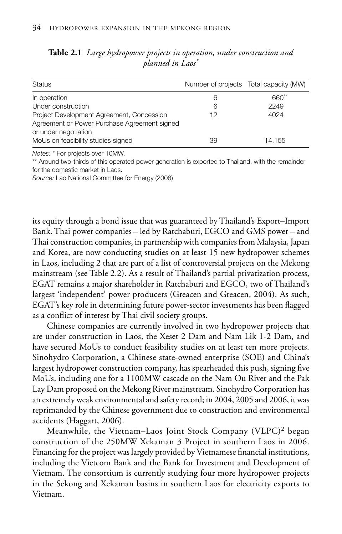| Status                                       |    | Number of projects Total capacity (MW) |
|----------------------------------------------|----|----------------------------------------|
| In operation                                 | 6  | 660**                                  |
| Under construction                           | 6  | 2249                                   |
| Project Development Agreement, Concession    | 12 | 4024                                   |
| Agreement or Power Purchase Agreement signed |    |                                        |
| or under negotiation                         |    |                                        |
| MoUs on feasibility studies signed           | 39 | 14.155                                 |

**Table 2.1** *Large hydropower projects in operation, under construction and planned in Laos\**

*Notes:* \* For projects over 10MW.

\*\* Around two-thirds of this operated power generation is exported to Thailand, with the remainder for the domestic market in Laos.

*Source:* Lao National Committee for Energy (2008)

its equity through a bond issue that was guaranteed by Thailand's Export–Import Bank. Thai power companies – led by Ratchaburi, EGCO and GMS power – and Thai construction companies, in partnership with companies from Malaysia, Japan and Korea, are now conducting studies on at least 15 new hydropower schemes in Laos, including 2 that are part of a list of controversial projects on the Mekong mainstream (see Table 2.2). As a result of Thailand's partial privatization process, EGAT remains a major shareholder in Ratchaburi and EGCO, two of Thailand's largest 'independent' power producers (Greacen and Greacen, 2004). As such, EGAT's key role in determining future power-sector investments has been flagged as a conflict of interest by Thai civil society groups.

Chinese companies are currently involved in two hydropower projects that are under construction in Laos, the Xeset 2 Dam and Nam Lik 1-2 Dam, and have secured MoUs to conduct feasibility studies on at least ten more projects. Sinohydro Corporation, a Chinese state-owned enterprise (SOE) and China's largest hydropower construction company, has spearheaded this push, signing five MoUs, including one for a 1100MW cascade on the Nam Ou River and the Pak Lay Dam proposed on the Mekong River mainstream. Sinohydro Corporation has an extremely weak environmental and safety record; in 2004, 2005 and 2006, it was reprimanded by the Chinese government due to construction and environmental accidents (Haggart, 2006).

Meanwhile, the Vietnam–Laos Joint Stock Company (VLPC)2 began construction of the 250MW Xekaman 3 Project in southern Laos in 2006. Financing for the project was largely provided by Vietnamese financial institutions, including the Vietcom Bank and the Bank for Investment and Development of Vietnam. The consortium is currently studying four more hydropower projects in the Sekong and Xekaman basins in southern Laos for electricity exports to Vietnam.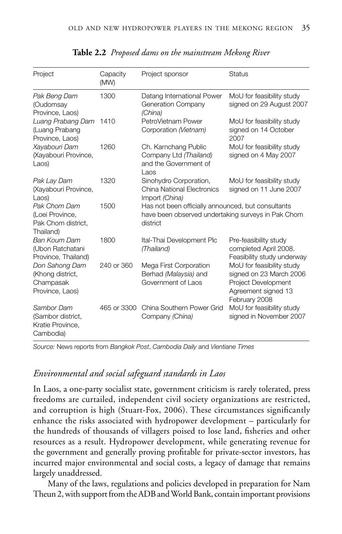| Project                                                            | Capacity<br>(MW) | Project sponsor                                                                                                      | <b>Status</b>                                                                                                       |
|--------------------------------------------------------------------|------------------|----------------------------------------------------------------------------------------------------------------------|---------------------------------------------------------------------------------------------------------------------|
| Pak Beng Dam<br>(Oudomsay<br>Province, Laos)                       | 1300             | Datang International Power<br><b>Generation Company</b><br>(China)                                                   | MoU for feasibility study<br>signed on 29 August 2007                                                               |
| Luang Prabang Dam<br>(Luang Prabang<br>Province, Laos)             | 1410             | PetroVietnam Power<br>Corporation (Vietnam)                                                                          | MoU for feasibility study<br>signed on 14 October<br>2007                                                           |
| Xayabouri Dam<br>(Xayabouri Province,<br>Laos)                     | 1260             | Ch. Karnchang Public<br>Company Ltd (Thailand)<br>and the Government of<br>Laos                                      | MoU for feasibility study<br>signed on 4 May 2007                                                                   |
| Pak Lay Dam<br>(Xayabouri Province,<br>Laos)                       | 1320             | Sinohydro Corporation,<br><b>China National Electronics</b><br>Import (China)                                        | MoU for feasibility study<br>signed on 11 June 2007                                                                 |
| Pak Chom Dam<br>(Loei Province,<br>Pak Chom district.<br>Thailand) | 1500             | Has not been officially announced, but consultants<br>have been observed undertaking surveys in Pak Chom<br>district |                                                                                                                     |
| Ban Koum Dam<br>(Ubon Ratchatani<br>Province, Thailand)            | 1800             | Ital-Thai Development Plc<br>(Thailand)                                                                              | Pre-feasibility study<br>completed April 2008.<br>Feasibility study underway                                        |
| Don Sahong Dam<br>(Khong district,<br>Champasak<br>Province, Laos) | 240 or 360       | Mega First Corporation<br>Berhad (Malaysia) and<br>Government of Laos                                                | MoU for feasibility study<br>signed on 23 March 2006<br>Project Development<br>Agreement signed 13<br>February 2008 |
| Sambor Dam<br>(Sambor district,<br>Kratie Province,<br>Cambodia)   | 465 or 3300      | China Southern Power Grid<br>Company (China)                                                                         | MoU for feasibility study<br>signed in November 2007                                                                |

**Table 2.2** *Proposed dams on the mainstream Mekong River*

*Source:* News reports from *Bangkok Post*, *Cambodia Daily* and *Vientiane Times*

#### *Environmental and social safeguard standards in Laos*

In Laos, a one-party socialist state, government criticism is rarely tolerated, press freedoms are curtailed, independent civil society organizations are restricted, and corruption is high (Stuart-Fox, 2006). These circumstances significantly enhance the risks associated with hydropower development – particularly for the hundreds of thousands of villagers poised to lose land, fisheries and other resources as a result. Hydropower development, while generating revenue for the government and generally proving profitable for private-sector investors, has incurred major environmental and social costs, a legacy of damage that remains largely unaddressed.

Many of the laws, regulations and policies developed in preparation for Nam Theun 2, with support from the ADB and World Bank, contain important provisions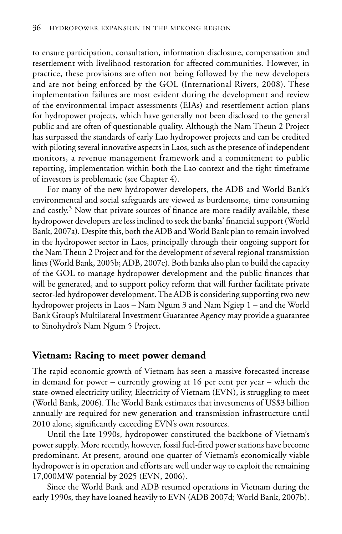to ensure participation, consultation, information disclosure, compensation and resettlement with livelihood restoration for affected communities. However, in practice, these provisions are often not being followed by the new developers and are not being enforced by the GOL (International Rivers, 2008). These implementation failures are most evident during the development and review of the environmental impact assessments (EIAs) and resettlement action plans for hydropower projects, which have generally not been disclosed to the general public and are often of questionable quality. Although the Nam Theun 2 Project has surpassed the standards of early Lao hydropower projects and can be credited with piloting several innovative aspects in Laos, such as the presence of independent monitors, a revenue management framework and a commitment to public reporting, implementation within both the Lao context and the tight timeframe of investors is problematic (see Chapter 4).

For many of the new hydropower developers, the ADB and World Bank's environmental and social safeguards are viewed as burdensome, time consuming and costly.<sup>3</sup> Now that private sources of finance are more readily available, these hydropower developers are less inclined to seek the banks' financial support (World Bank, 2007a). Despite this, both the ADB and World Bank plan to remain involved in the hydropower sector in Laos, principally through their ongoing support for the Nam Theun 2 Project and for the development of several regional transmission lines (World Bank, 2005b; ADB, 2007c). Both banks also plan to build the capacity of the GOL to manage hydropower development and the public finances that will be generated, and to support policy reform that will further facilitate private sector-led hydropower development. The ADB is considering supporting two new hydropower projects in Laos – Nam Ngum 3 and Nam Ngiep 1 – and the World Bank Group's Multilateral Investment Guarantee Agency may provide a guarantee to Sinohydro's Nam Ngum 5 Project.

#### **Vietnam: Racing to meet power demand**

The rapid economic growth of Vietnam has seen a massive forecasted increase in demand for power – currently growing at 16 per cent per year – which the state-owned electricity utility, Electricity of Vietnam (EVN), is struggling to meet (World Bank, 2006). The World Bank estimates that investments of US\$3 billion annually are required for new generation and transmission infrastructure until 2010 alone, significantly exceeding EVN's own resources.

Until the late 1990s, hydropower constituted the backbone of Vietnam's power supply. More recently, however, fossil fuel-fired power stations have become predominant. At present, around one quarter of Vietnam's economically viable hydropower is in operation and efforts are well under way to exploit the remaining 17,000MW potential by 2025 (EVN, 2006).

Since the World Bank and ADB resumed operations in Vietnam during the early 1990s, they have loaned heavily to EVN (ADB 2007d; World Bank, 2007b).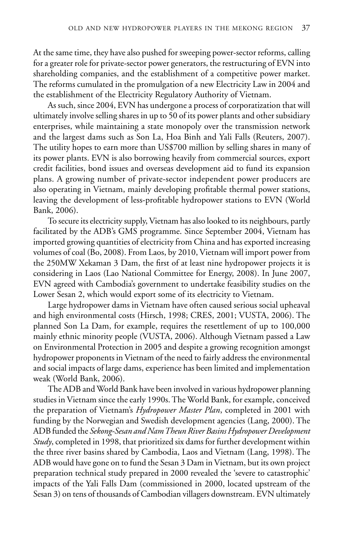At the same time, they have also pushed for sweeping power-sector reforms, calling for a greater role for private-sector power generators, the restructuring of EVN into shareholding companies, and the establishment of a competitive power market. The reforms cumulated in the promulgation of a new Electricity Law in 2004 and the establishment of the Electricity Regulatory Authority of Vietnam.

As such, since 2004, EVN has undergone a process of corporatization that will ultimately involve selling shares in up to 50 of its power plants and other subsidiary enterprises, while maintaining a state monopoly over the transmission network and the largest dams such as Son La, Hoa Binh and Yali Falls (Reuters, 2007). The utility hopes to earn more than US\$700 million by selling shares in many of its power plants. EVN is also borrowing heavily from commercial sources, export credit facilities, bond issues and overseas development aid to fund its expansion plans. A growing number of private-sector independent power producers are also operating in Vietnam, mainly developing profitable thermal power stations, leaving the development of less-profitable hydropower stations to EVN (World Bank, 2006).

To secure its electricity supply, Vietnam has also looked to its neighbours, partly facilitated by the ADB's GMS programme. Since September 2004, Vietnam has imported growing quantities of electricity from China and has exported increasing volumes of coal (Bo, 2008). From Laos, by 2010, Vietnam will import power from the 250MW Xekaman 3 Dam, the first of at least nine hydropower projects it is considering in Laos (Lao National Committee for Energy, 2008). In June 2007, EVN agreed with Cambodia's government to undertake feasibility studies on the Lower Sesan 2, which would export some of its electricity to Vietnam.

Large hydropower dams in Vietnam have often caused serious social upheaval and high environmental costs (Hirsch, 1998; CRES, 2001; VUSTA, 2006). The planned Son La Dam, for example, requires the resettlement of up to 100,000 mainly ethnic minority people (VUSTA, 2006). Although Vietnam passed a Law on Environmental Protection in 2005 and despite a growing recognition amongst hydropower proponents in Vietnam of the need to fairly address the environmental and social impacts of large dams, experience has been limited and implementation weak (World Bank, 2006).

The ADB and World Bank have been involved in various hydropower planning studies in Vietnam since the early 1990s. The World Bank, for example, conceived the preparation of Vietnam's *Hydropower Master Plan*, completed in 2001 with funding by the Norwegian and Swedish development agencies (Lang, 2000). The ADB funded the *Sekong-Sesan and Nam Theun River Basins Hydropower Development Study*, completed in 1998, that prioritized six dams for further development within the three river basins shared by Cambodia, Laos and Vietnam (Lang, 1998). The ADB would have gone on to fund the Sesan 3 Dam in Vietnam, but its own project preparation technical study prepared in 2000 revealed the 'severe to catastrophic' impacts of the Yali Falls Dam (commissioned in 2000, located upstream of the Sesan 3) on tens of thousands of Cambodian villagers downstream. EVN ultimately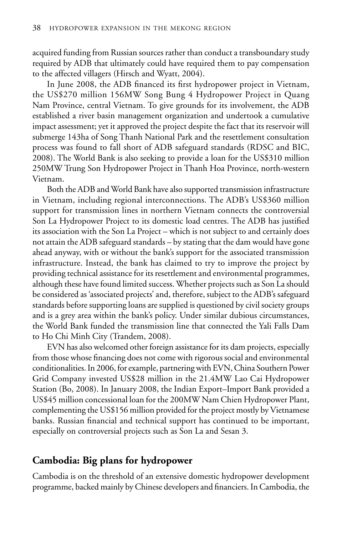acquired funding from Russian sources rather than conduct a transboundary study required by ADB that ultimately could have required them to pay compensation to the affected villagers (Hirsch and Wyatt, 2004).

In June 2008, the ADB financed its first hydropower project in Vietnam, the US\$270 million 156MW Song Bung 4 Hydropower Project in Quang Nam Province, central Vietnam. To give grounds for its involvement, the ADB established a river basin management organization and undertook a cumulative impact assessment; yet it approved the project despite the fact that its reservoir will submerge 143ha of Song Thanh National Park and the resettlement consultation process was found to fall short of ADB safeguard standards (RDSC and BIC, 2008). The World Bank is also seeking to provide a loan for the US\$310 million 250MW Trung Son Hydropower Project in Thanh Hoa Province, north-western Vietnam.

Both the ADB and World Bank have also supported transmission infrastructure in Vietnam, including regional interconnections. The ADB's US\$360 million support for transmission lines in northern Vietnam connects the controversial Son La Hydropower Project to its domestic load centres. The ADB has justified its association with the Son La Project – which is not subject to and certainly does not attain the ADB safeguard standards – by stating that the dam would have gone ahead anyway, with or without the bank's support for the associated transmission infrastructure. Instead, the bank has claimed to try to improve the project by providing technical assistance for its resettlement and environmental programmes, although these have found limited success. Whether projects such as Son La should be considered as 'associated projects' and, therefore, subject to the ADB's safeguard standards before supporting loans are supplied is questioned by civil society groups and is a grey area within the bank's policy. Under similar dubious circumstances, the World Bank funded the transmission line that connected the Yali Falls Dam to Ho Chi Minh City (Trandem, 2008).

EVN has also welcomed other foreign assistance for its dam projects, especially from those whose financing does not come with rigorous social and environmental conditionalities. In 2006, for example, partnering with EVN, China Southern Power Grid Company invested US\$28 million in the 21.4MW Lao Cai Hydropower Station (Bo, 2008). In January 2008, the Indian Export–Import Bank provided a US\$45 million concessional loan for the 200MW Nam Chien Hydropower Plant, complementing the US\$156 million provided for the project mostly by Vietnamese banks. Russian financial and technical support has continued to be important, especially on controversial projects such as Son La and Sesan 3.

#### **Cambodia: Big plans for hydropower**

Cambodia is on the threshold of an extensive domestic hydropower development programme, backed mainly by Chinese developers and financiers. In Cambodia, the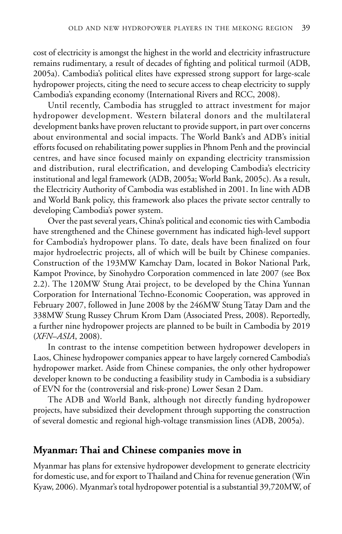cost of electricity is amongst the highest in the world and electricity infrastructure remains rudimentary, a result of decades of fighting and political turmoil (ADB, 2005a). Cambodia's political elites have expressed strong support for large-scale hydropower projects, citing the need to secure access to cheap electricity to supply Cambodia's expanding economy (International Rivers and RCC, 2008).

Until recently, Cambodia has struggled to attract investment for major hydropower development. Western bilateral donors and the multilateral development banks have proven reluctant to provide support, in part over concerns about environmental and social impacts. The World Bank's and ADB's initial efforts focused on rehabilitating power supplies in Phnom Penh and the provincial centres, and have since focused mainly on expanding electricity transmission and distribution, rural electrification, and developing Cambodia's electricity institutional and legal framework (ADB, 2005a; World Bank, 2005c). As a result, the Electricity Authority of Cambodia was established in 2001. In line with ADB and World Bank policy, this framework also places the private sector centrally to developing Cambodia's power system.

Over the past several years, China's political and economic ties with Cambodia have strengthened and the Chinese government has indicated high-level support for Cambodia's hydropower plans. To date, deals have been finalized on four major hydroelectric projects, all of which will be built by Chinese companies. Construction of the 193MW Kamchay Dam, located in Bokor National Park, Kampot Province, by Sinohydro Corporation commenced in late 2007 (see Box 2.2). The 120MW Stung Atai project, to be developed by the China Yunnan Corporation for International Techno-Economic Cooperation, was approved in February 2007, followed in June 2008 by the 246MW Stung Tatay Dam and the 338MW Stung Russey Chrum Krom Dam (Associated Press, 2008). Reportedly, a further nine hydropower projects are planned to be built in Cambodia by 2019 (*XFN–ASIA*, 2008).

In contrast to the intense competition between hydropower developers in Laos, Chinese hydropower companies appear to have largely cornered Cambodia's hydropower market. Aside from Chinese companies, the only other hydropower developer known to be conducting a feasibility study in Cambodia is a subsidiary of EVN for the (controversial and risk-prone) Lower Sesan 2 Dam.

The ADB and World Bank, although not directly funding hydropower projects, have subsidized their development through supporting the construction of several domestic and regional high-voltage transmission lines (ADB, 2005a).

#### **Myanmar: Thai and Chinese companies move in**

Myanmar has plans for extensive hydropower development to generate electricity for domestic use, and for export to Thailand and China for revenue generation (Win Kyaw, 2006). Myanmar's total hydropower potential is a substantial 39,720MW, of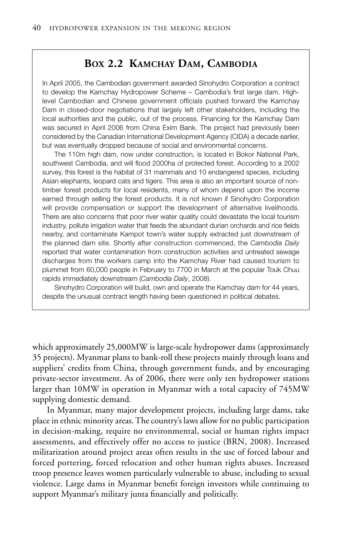# **BOX 2.2 KAMCHAY DAM, CAMBODIA**

In April 2005, the Cambodian government awarded Sinohydro Corporation a contract to develop the Kamchay Hydropower Scheme - Cambodia's first large dam. Highlevel Cambodian and Chinese government officials pushed forward the Kamchay Dam in closed-door negotiations that largely left other stakeholders, including the local authorities and the public, out of the process. Financing for the Kamchay Dam was secured in April 2006 from China Exim Bank. The project had previously been considered by the Canadian International Development Agency (CIDA) a decade earlier, but was eventually dropped because of social and environmental concerns.

 The 110m high dam, now under construction, is located in Bokor National Park, southwest Cambodia, and will flood 2000ha of protected forest. According to a 2002 survey, this forest is the habitat of 31 mammals and 10 endangered species, including Asian elephants, leopard cats and tigers. This area is also an important source of nontimber forest products for local residents, many of whom depend upon the income earned through selling the forest products. It is not known if Sinohydro Corporation will provide compensation or support the development of alternative livelihoods. There are also concerns that poor river water quality could devastate the local tourism industry, pollute irrigation water that feeds the abundant durian orchards and rice fields nearby, and contaminate Kampot town's water supply extracted just downstream of the planned dam site. Shortly after construction commenced, the *Cambodia Daily*  reported that water contamination from construction activities and untreated sewage discharges from the workers camp into the Kamchay River had caused tourism to plummet from 60,000 people in February to 7700 in March at the popular Touk Chuu rapids immediately downstream (*Cambodia Daily*, 2008).

 Sinohydro Corporation will build, own and operate the Kamchay dam for 44 years, despite the unusual contract length having been questioned in political debates.

which approximately 25,000MW is large-scale hydropower dams (approximately 35 projects). Myanmar plans to bank-roll these projects mainly through loans and suppliers' credits from China, through government funds, and by encouraging private-sector investment. As of 2006, there were only ten hydropower stations larger than 10MW in operation in Myanmar with a total capacity of 745MW supplying domestic demand.

In Myanmar, many major development projects, including large dams, take place in ethnic minority areas. The country's laws allow for no public participation in decision-making, require no environmental, social or human rights impact assessments, and effectively offer no access to justice (BRN, 2008). Increased militarization around project areas often results in the use of forced labour and forced portering, forced relocation and other human rights abuses. Increased troop presence leaves women particularly vulnerable to abuse, including to sexual violence. Large dams in Myanmar benefit foreign investors while continuing to support Myanmar's military junta financially and politically.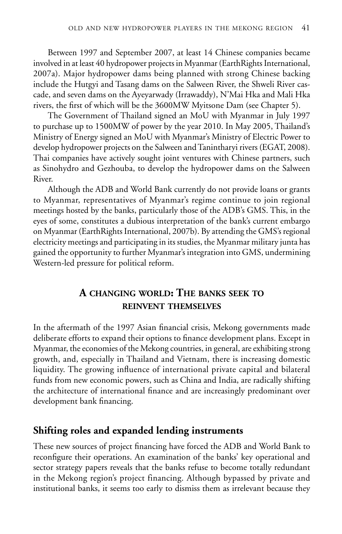Between 1997 and September 2007, at least 14 Chinese companies became involved in at least 40 hydropower projects in Myanmar (EarthRights International, 2007a). Major hydropower dams being planned with strong Chinese backing include the Hutgyi and Tasang dams on the Salween River, the Shweli River cascade, and seven dams on the Ayeyarwady (Irrawaddy), N'Mai Hka and Mali Hka rivers, the first of which will be the 3600MW Myitsone Dam (see Chapter 5).

The Government of Thailand signed an MoU with Myanmar in July 1997 to purchase up to 1500MW of power by the year 2010. In May 2005, Thailand's Ministry of Energy signed an MoU with Myanmar's Ministry of Electric Power to develop hydropower projects on the Salween and Tanintharyi rivers (EGAT, 2008). Thai companies have actively sought joint ventures with Chinese partners, such as Sinohydro and Gezhouba, to develop the hydropower dams on the Salween River.

Although the ADB and World Bank currently do not provide loans or grants to Myanmar, representatives of Myanmar's regime continue to join regional meetings hosted by the banks, particularly those of the ADB's GMS. This, in the eyes of some, constitutes a dubious interpretation of the bank's current embargo on Myanmar (EarthRights International, 2007b). By attending the GMS's regional electricity meetings and participating in its studies, the Myanmar military junta has gained the opportunity to further Myanmar's integration into GMS, undermining Western-led pressure for political reform.

## **A CHANGING WORLD: THE BANKS SEEK TO REINVENT THEMSELVES**

In the aftermath of the 1997 Asian financial crisis, Mekong governments made deliberate efforts to expand their options to finance development plans. Except in Myanmar, the economies of the Mekong countries, in general, are exhibiting strong growth, and, especially in Thailand and Vietnam, there is increasing domestic liquidity. The growing influence of international private capital and bilateral funds from new economic powers, such as China and India, are radically shifting the architecture of international finance and are increasingly predominant over development bank financing.

#### **Shifting roles and expanded lending instruments**

These new sources of project financing have forced the ADB and World Bank to reconfigure their operations. An examination of the banks' key operational and sector strategy papers reveals that the banks refuse to become totally redundant in the Mekong region's project financing. Although bypassed by private and institutional banks, it seems too early to dismiss them as irrelevant because they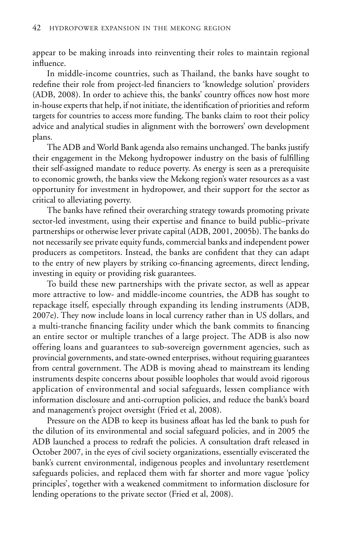appear to be making inroads into reinventing their roles to maintain regional influence.

In middle-income countries, such as Thailand, the banks have sought to redefine their role from project-led financiers to 'knowledge solution' providers (ADB, 2008). In order to achieve this, the banks' country offices now host more in-house experts that help, if not initiate, the identification of priorities and reform targets for countries to access more funding. The banks claim to root their policy advice and analytical studies in alignment with the borrowers' own development plans.

The ADB and World Bank agenda also remains unchanged. The banks justify their engagement in the Mekong hydropower industry on the basis of fulfilling their self-assigned mandate to reduce poverty. As energy is seen as a prerequisite to economic growth, the banks view the Mekong region's water resources as a vast opportunity for investment in hydropower, and their support for the sector as critical to alleviating poverty.

The banks have refined their overarching strategy towards promoting private sector-led investment, using their expertise and finance to build public–private partnerships or otherwise lever private capital (ADB, 2001, 2005b). The banks do not necessarily see private equity funds, commercial banks and independent power producers as competitors. Instead, the banks are confident that they can adapt to the entry of new players by striking co-financing agreements, direct lending, investing in equity or providing risk guarantees.

To build these new partnerships with the private sector, as well as appear more attractive to low- and middle-income countries, the ADB has sought to repackage itself, especially through expanding its lending instruments (ADB, 2007e). They now include loans in local currency rather than in US dollars, and a multi-tranche financing facility under which the bank commits to financing an entire sector or multiple tranches of a large project. The ADB is also now offering loans and guarantees to sub-sovereign government agencies, such as provincial governments, and state-owned enterprises, without requiring guarantees from central government. The ADB is moving ahead to mainstream its lending instruments despite concerns about possible loopholes that would avoid rigorous application of environmental and social safeguards, lessen compliance with information disclosure and anti-corruption policies, and reduce the bank's board and management's project oversight (Fried et al, 2008).

Pressure on the ADB to keep its business afloat has led the bank to push for the dilution of its environmental and social safeguard policies, and in 2005 the ADB launched a process to redraft the policies. A consultation draft released in October 2007, in the eyes of civil society organizations, essentially eviscerated the bank's current environmental, indigenous peoples and involuntary resettlement safeguards policies, and replaced them with far shorter and more vague 'policy principles', together with a weakened commitment to information disclosure for lending operations to the private sector (Fried et al, 2008).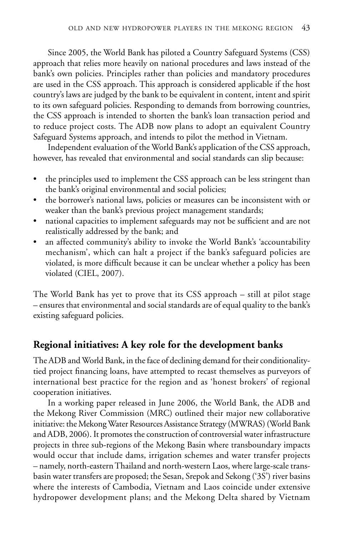Since 2005, the World Bank has piloted a Country Safeguard Systems (CSS) approach that relies more heavily on national procedures and laws instead of the bank's own policies. Principles rather than policies and mandatory procedures are used in the CSS approach. This approach is considered applicable if the host country's laws are judged by the bank to be equivalent in content, intent and spirit to its own safeguard policies. Responding to demands from borrowing countries, the CSS approach is intended to shorten the bank's loan transaction period and to reduce project costs. The ADB now plans to adopt an equivalent Country Safeguard Systems approach, and intends to pilot the method in Vietnam.

Independent evaluation of the World Bank's application of the CSS approach, however, has revealed that environmental and social standards can slip because:

- the principles used to implement the CSS approach can be less stringent than the bank's original environmental and social policies;
- the borrower's national laws, policies or measures can be inconsistent with or weaker than the bank's previous project management standards;
- national capacities to implement safeguards may not be sufficient and are not realistically addressed by the bank; and
- an affected community's ability to invoke the World Bank's 'accountability mechanism', which can halt a project if the bank's safeguard policies are violated, is more difficult because it can be unclear whether a policy has been violated (CIEL, 2007).

The World Bank has yet to prove that its CSS approach – still at pilot stage – ensures that environmental and social standards are of equal quality to the bank's existing safeguard policies.

#### **Regional initiatives: A key role for the development banks**

The ADB and World Bank, in the face of declining demand for their conditionalitytied project financing loans, have attempted to recast themselves as purveyors of international best practice for the region and as 'honest brokers' of regional cooperation initiatives.

In a working paper released in June 2006, the World Bank, the ADB and the Mekong River Commission (MRC) outlined their major new collaborative initiative: the Mekong Water Resources Assistance Strategy (MWRAS) (World Bank and ADB, 2006). It promotes the construction of controversial water infrastructure projects in three sub-regions of the Mekong Basin where transboundary impacts would occur that include dams, irrigation schemes and water transfer projects – namely, north-eastern Thailand and north-western Laos, where large-scale transbasin water transfers are proposed; the Sesan, Srepok and Sekong ('3S') river basins where the interests of Cambodia, Vietnam and Laos coincide under extensive hydropower development plans; and the Mekong Delta shared by Vietnam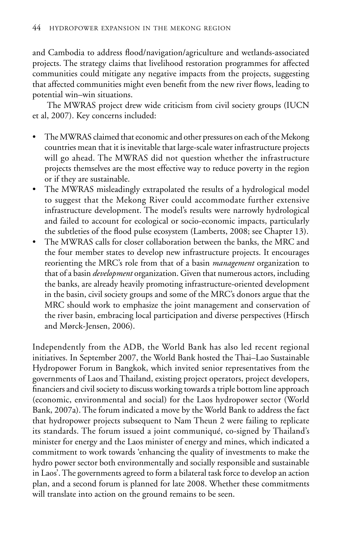and Cambodia to address flood/navigation/agriculture and wetlands-associated projects. The strategy claims that livelihood restoration programmes for affected communities could mitigate any negative impacts from the projects, suggesting that affected communities might even benefit from the new river flows, leading to potential win–win situations.

The MWRAS project drew wide criticism from civil society groups (IUCN et al, 2007). Key concerns included:

- The MWRAS claimed that economic and other pressures on each of the Mekong countries mean that it is inevitable that large-scale water infrastructure projects will go ahead. The MWRAS did not question whether the infrastructure projects themselves are the most effective way to reduce poverty in the region or if they are sustainable.
- The MWRAS misleadingly extrapolated the results of a hydrological model to suggest that the Mekong River could accommodate further extensive infrastructure development. The model's results were narrowly hydrological and failed to account for ecological or socio-economic impacts, particularly the subtleties of the flood pulse ecosystem (Lamberts, 2008; see Chapter 13).
- The MWRAS calls for closer collaboration between the banks, the MRC and the four member states to develop new infrastructure projects. It encourages reorienting the MRC's role from that of a basin *management* organization to that of a basin *development* organization. Given that numerous actors, including the banks, are already heavily promoting infrastructure-oriented development in the basin, civil society groups and some of the MRC's donors argue that the MRC should work to emphasize the joint management and conservation of the river basin, embracing local participation and diverse perspectives (Hirsch and Mørck-Jensen, 2006).

Independently from the ADB, the World Bank has also led recent regional initiatives. In September 2007, the World Bank hosted the Thai–Lao Sustainable Hydropower Forum in Bangkok, which invited senior representatives from the governments of Laos and Thailand, existing project operators, project developers, financiers and civil society to discuss working towards a triple bottom line approach (economic, environmental and social) for the Laos hydropower sector (World Bank, 2007a). The forum indicated a move by the World Bank to address the fact that hydropower projects subsequent to Nam Theun 2 were failing to replicate its standards. The forum issued a joint communiqué, co-signed by Thailand's minister for energy and the Laos minister of energy and mines, which indicated a commitment to work towards 'enhancing the quality of investments to make the hydro power sector both environmentally and socially responsible and sustainable in Laos'. The governments agreed to form a bilateral task force to develop an action plan, and a second forum is planned for late 2008. Whether these commitments will translate into action on the ground remains to be seen.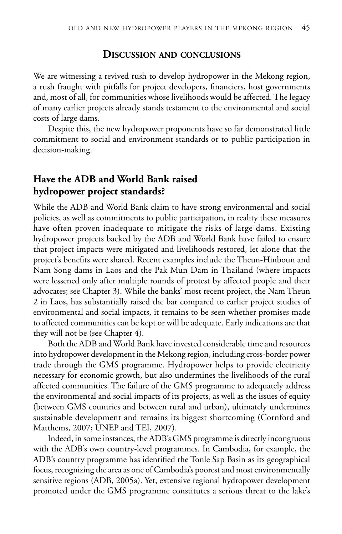#### **DISCUSSION AND CONCLUSIONS**

We are witnessing a revived rush to develop hydropower in the Mekong region, a rush fraught with pitfalls for project developers, financiers, host governments and, most of all, for communities whose livelihoods would be affected. The legacy of many earlier projects already stands testament to the environmental and social costs of large dams.

Despite this, the new hydropower proponents have so far demonstrated little commitment to social and environment standards or to public participation in decision-making.

## **Have the ADB and World Bank raised hydropower project standards?**

While the ADB and World Bank claim to have strong environmental and social policies, as well as commitments to public participation, in reality these measures have often proven inadequate to mitigate the risks of large dams. Existing hydropower projects backed by the ADB and World Bank have failed to ensure that project impacts were mitigated and livelihoods restored, let alone that the project's benefits were shared. Recent examples include the Theun-Hinboun and Nam Song dams in Laos and the Pak Mun Dam in Thailand (where impacts were lessened only after multiple rounds of protest by affected people and their advocates; see Chapter 3). While the banks' most recent project, the Nam Theun 2 in Laos, has substantially raised the bar compared to earlier project studies of environmental and social impacts, it remains to be seen whether promises made to affected communities can be kept or will be adequate. Early indications are that they will not be (see Chapter 4).

Both the ADB and World Bank have invested considerable time and resources into hydropower development in the Mekong region, including cross-border power trade through the GMS programme. Hydropower helps to provide electricity necessary for economic growth, but also undermines the livelihoods of the rural affected communities. The failure of the GMS programme to adequately address the environmental and social impacts of its projects, as well as the issues of equity (between GMS countries and between rural and urban), ultimately undermines sustainable development and remains its biggest shortcoming (Cornford and Matthems, 2007; UNEP and TEI, 2007).

Indeed, in some instances, the ADB's GMS programme is directly incongruous with the ADB's own country-level programmes. In Cambodia, for example, the ADB's country programme has identified the Tonle Sap Basin as its geographical focus, recognizing the area as one of Cambodia's poorest and most environmentally sensitive regions (ADB, 2005a). Yet, extensive regional hydropower development promoted under the GMS programme constitutes a serious threat to the lake's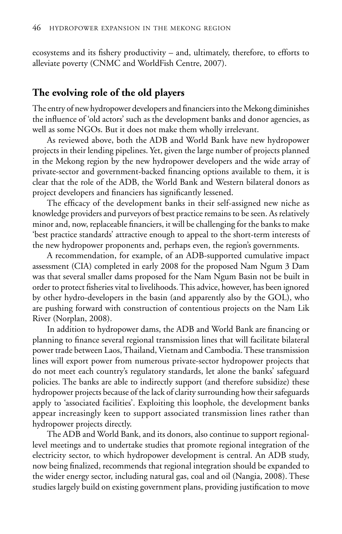ecosystems and its fishery productivity – and, ultimately, therefore, to efforts to alleviate poverty (CNMC and WorldFish Centre, 2007).

## **The evolving role of the old players**

The entry of new hydropower developers and financiers into the Mekong diminishes the influence of 'old actors' such as the development banks and donor agencies, as well as some NGOs. But it does not make them wholly irrelevant.

As reviewed above, both the ADB and World Bank have new hydropower projects in their lending pipelines. Yet, given the large number of projects planned in the Mekong region by the new hydropower developers and the wide array of private-sector and government-backed financing options available to them, it is clear that the role of the ADB, the World Bank and Western bilateral donors as project developers and financiers has significantly lessened.

The efficacy of the development banks in their self-assigned new niche as knowledge providers and purveyors of best practice remains to be seen. As relatively minor and, now, replaceable financiers, it will be challenging for the banks to make 'best practice standards' attractive enough to appeal to the short-term interests of the new hydropower proponents and, perhaps even, the region's governments.

A recommendation, for example, of an ADB-supported cumulative impact assessment (CIA) completed in early 2008 for the proposed Nam Ngum 3 Dam was that several smaller dams proposed for the Nam Ngum Basin not be built in order to protect fisheries vital to livelihoods. This advice, however, has been ignored by other hydro-developers in the basin (and apparently also by the GOL), who are pushing forward with construction of contentious projects on the Nam Lik River (Norplan, 2008).

In addition to hydropower dams, the ADB and World Bank are financing or planning to finance several regional transmission lines that will facilitate bilateral power trade between Laos, Thailand, Vietnam and Cambodia. These transmission lines will export power from numerous private-sector hydropower projects that do not meet each country's regulatory standards, let alone the banks' safeguard policies. The banks are able to indirectly support (and therefore subsidize) these hydropower projects because of the lack of clarity surrounding how their safeguards apply to 'associated facilities'. Exploiting this loophole, the development banks appear increasingly keen to support associated transmission lines rather than hydropower projects directly.

The ADB and World Bank, and its donors, also continue to support regionallevel meetings and to undertake studies that promote regional integration of the electricity sector, to which hydropower development is central. An ADB study, now being finalized, recommends that regional integration should be expanded to the wider energy sector, including natural gas, coal and oil (Nangia, 2008). These studies largely build on existing government plans, providing justification to move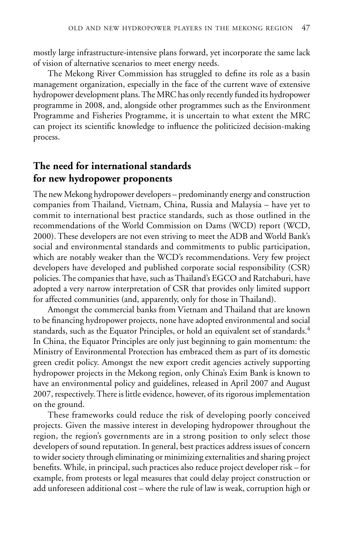mostly large infrastructure-intensive plans forward, yet incorporate the same lack of vision of alternative scenarios to meet energy needs.

The Mekong River Commission has struggled to define its role as a basin management organization, especially in the face of the current wave of extensive hydropower development plans. The MRC has only recently funded its hydropower programme in 2008, and, alongside other programmes such as the Environment Programme and Fisheries Programme, it is uncertain to what extent the MRC can project its scientific knowledge to influence the politicized decision-making process.

## **The need for international standards for new hydropower proponents**

The new Mekong hydropower developers – predominantly energy and construction companies from Thailand, Vietnam, China, Russia and Malaysia – have yet to commit to international best practice standards, such as those outlined in the recommendations of the World Commission on Dams (WCD) report (WCD, 2000). These developers are not even striving to meet the ADB and World Bank's social and environmental standards and commitments to public participation, which are notably weaker than the WCD's recommendations. Very few project developers have developed and published corporate social responsibility (CSR) policies. The companies that have, such as Thailand's EGCO and Ratchaburi, have adopted a very narrow interpretation of CSR that provides only limited support for affected communities (and, apparently, only for those in Thailand).

Amongst the commercial banks from Vietnam and Thailand that are known to be financing hydropower projects, none have adopted environmental and social standards, such as the Equator Principles, or hold an equivalent set of standards.<sup>4</sup> In China, the Equator Principles are only just beginning to gain momentum: the Ministry of Environmental Protection has embraced them as part of its domestic green credit policy. Amongst the new export credit agencies actively supporting hydropower projects in the Mekong region, only China's Exim Bank is known to have an environmental policy and guidelines, released in April 2007 and August 2007, respectively. There is little evidence, however, of its rigorous implementation on the ground.

These frameworks could reduce the risk of developing poorly conceived projects. Given the massive interest in developing hydropower throughout the region, the region's governments are in a strong position to only select those developers of sound reputation. In general, best practices address issues of concern to wider society through eliminating or minimizing externalities and sharing project benefits. While, in principal, such practices also reduce project developer risk – for example, from protests or legal measures that could delay project construction or add unforeseen additional cost – where the rule of law is weak, corruption high or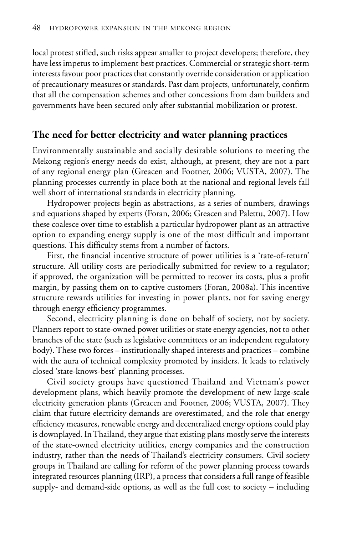local protest stifled, such risks appear smaller to project developers; therefore, they have less impetus to implement best practices. Commercial or strategic short-term interests favour poor practices that constantly override consideration or application of precautionary measures or standards. Past dam projects, unfortunately, confirm that all the compensation schemes and other concessions from dam builders and governments have been secured only after substantial mobilization or protest.

## **The need for better electricity and water planning practices**

Environmentally sustainable and socially desirable solutions to meeting the Mekong region's energy needs do exist, although, at present, they are not a part of any regional energy plan (Greacen and Footner, 2006; VUSTA, 2007). The planning processes currently in place both at the national and regional levels fall well short of international standards in electricity planning.

Hydropower projects begin as abstractions, as a series of numbers, drawings and equations shaped by experts (Foran, 2006; Greacen and Palettu, 2007). How these coalesce over time to establish a particular hydropower plant as an attractive option to expanding energy supply is one of the most difficult and important questions. This difficulty stems from a number of factors.

First, the financial incentive structure of power utilities is a 'rate-of-return' structure. All utility costs are periodically submitted for review to a regulator; if approved, the organization will be permitted to recover its costs, plus a profit margin, by passing them on to captive customers (Foran, 2008a). This incentive structure rewards utilities for investing in power plants, not for saving energy through energy efficiency programmes.

Second, electricity planning is done on behalf of society, not by society. Planners report to state-owned power utilities or state energy agencies, not to other branches of the state (such as legislative committees or an independent regulatory body). These two forces – institutionally shaped interests and practices – combine with the aura of technical complexity promoted by insiders. It leads to relatively closed 'state-knows-best' planning processes.

Civil society groups have questioned Thailand and Vietnam's power development plans, which heavily promote the development of new large-scale electricity generation plants (Greacen and Footner, 2006; VUSTA, 2007). They claim that future electricity demands are overestimated, and the role that energy efficiency measures, renewable energy and decentralized energy options could play is downplayed. In Thailand, they argue that existing plans mostly serve the interests of the state-owned electricity utilities, energy companies and the construction industry, rather than the needs of Thailand's electricity consumers. Civil society groups in Thailand are calling for reform of the power planning process towards integrated resources planning (IRP), a process that considers a full range of feasible supply- and demand-side options, as well as the full cost to society – including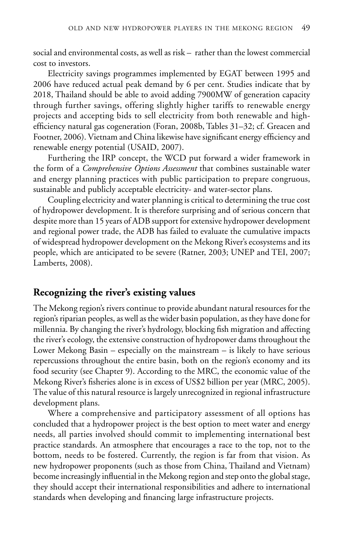social and environmental costs, as well as risk – rather than the lowest commercial cost to investors.

Electricity savings programmes implemented by EGAT between 1995 and 2006 have reduced actual peak demand by 6 per cent. Studies indicate that by 2018, Thailand should be able to avoid adding 7900MW of generation capacity through further savings, offering slightly higher tariffs to renewable energy projects and accepting bids to sell electricity from both renewable and highefficiency natural gas cogeneration (Foran, 2008b, Tables 31–32; cf. Greacen and Footner, 2006). Vietnam and China likewise have significant energy efficiency and renewable energy potential (USAID, 2007).

Furthering the IRP concept, the WCD put forward a wider framework in the form of a *Comprehensive Options Assessment* that combines sustainable water and energy planning practices with public participation to prepare congruous, sustainable and publicly acceptable electricity- and water-sector plans.

Coupling electricity and water planning is critical to determining the true cost of hydropower development. It is therefore surprising and of serious concern that despite more than 15 years of ADB support for extensive hydropower development and regional power trade, the ADB has failed to evaluate the cumulative impacts of widespread hydropower development on the Mekong River's ecosystems and its people, which are anticipated to be severe (Ratner, 2003; UNEP and TEI, 2007; Lamberts, 2008).

#### **Recognizing the river's existing values**

The Mekong region's rivers continue to provide abundant natural resources for the region's riparian peoples, as well as the wider basin population, as they have done for millennia. By changing the river's hydrology, blocking fish migration and affecting the river's ecology, the extensive construction of hydropower dams throughout the Lower Mekong Basin – especially on the mainstream – is likely to have serious repercussions throughout the entire basin, both on the region's economy and its food security (see Chapter 9). According to the MRC, the economic value of the Mekong River's fisheries alone is in excess of US\$2 billion per year (MRC, 2005). The value of this natural resource is largely unrecognized in regional infrastructure development plans.

Where a comprehensive and participatory assessment of all options has concluded that a hydropower project is the best option to meet water and energy needs, all parties involved should commit to implementing international best practice standards. An atmosphere that encourages a race to the top, not to the bottom, needs to be fostered. Currently, the region is far from that vision. As new hydropower proponents (such as those from China, Thailand and Vietnam) become increasingly influential in the Mekong region and step onto the global stage, they should accept their international responsibilities and adhere to international standards when developing and financing large infrastructure projects.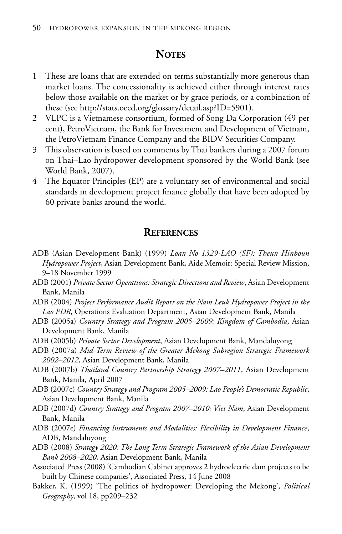# **NOTES**

- 1 These are loans that are extended on terms substantially more generous than market loans. The concessionality is achieved either through interest rates below those available on the market or by grace periods, or a combination of these (see http://stats.oecd.org/glossary/detail.asp?ID=5901).
- 2 VLPC is a Vietnamese consortium, formed of Song Da Corporation (49 per cent), PetroVietnam, the Bank for Investment and Development of Vietnam, the PetroVietnam Finance Company and the BIDV Securities Company.
- 3 This observation is based on comments by Thai bankers during a 2007 forum on Thai–Lao hydropower development sponsored by the World Bank (see World Bank, 2007).
- 4 The Equator Principles (EP) are a voluntary set of environmental and social standards in development project finance globally that have been adopted by 60 private banks around the world.

#### **REFERENCES**

- ADB (Asian Development Bank) (1999) *Loan No 1329-LAO (SF): Theun Hinboun Hydropower Project*, Asian Development Bank, Aide Memoir: Special Review Mission, 9–18 November 1999
- ADB (2001) *Private Sector Operations: Strategic Directions and Review*, Asian Development Bank, Manila
- ADB (2004) *Project Performance Audit Report on the Nam Leuk Hydropower Project in the Lao PDR*, Operations Evaluation Department, Asian Development Bank, Manila
- ADB (2005a) *Country Strategy and Program 2005–2009: Kingdom of Cambodia*, Asian Development Bank, Manila
- ADB (2005b) *Private Sector Development*, Asian Development Bank, Mandaluyong
- ADB (2007a) *Mid-Term Review of the Greater Mekong Subregion Strategic Framework 2002–2012*, Asian Development Bank, Manila
- ADB (2007b) *Thailand Country Partnership Strategy 2007–2011*, Asian Development Bank, Manila, April 2007
- ADB (2007c) *Country Strategy and Program 2005–2009: Lao People's Democratic Republic*, Asian Development Bank, Manila
- ADB (2007d) *Country Strategy and Program 2007–2010: Viet Nam*, Asian Development Bank, Manila
- ADB (2007e) *Financing Instruments and Modalities: Flexibility in Development Finance*, ADB, Mandaluyong
- ADB (2008) *Strategy 2020: The Long Term Strategic Framework of the Asian Development Bank 2008–2020*, Asian Development Bank, Manila
- Associated Press (2008) 'Cambodian Cabinet approves 2 hydroelectric dam projects to be built by Chinese companies', Associated Press, 14 June 2008
- Bakker, K. (1999) 'The politics of hydropower: Developing the Mekong', *Political Geography*, vol 18, pp209–232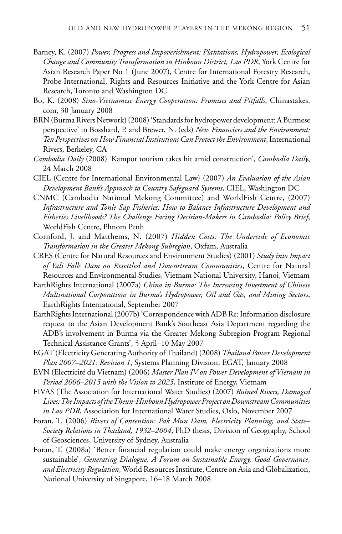- Barney, K. (2007) *Power, Progress and Impoverishment: Plantations, Hydropower, Ecological Change and Community Transformation in Hinboun District, Lao PDR*, York Centre for Asian Research Paper No 1 (June 2007), Centre for International Forestry Research, Probe International, Rights and Resources Initiative and the York Centre for Asian Research, Toronto and Washington DC
- Bo, K. (2008) *Sino-Vietnamese Energy Cooperation: Promises and Pitfalls*, Chinastakes. com, 30 January 2008
- BRN (Burma Rivers Network) (2008) 'Standards for hydropower development: A Burmese perspective' in Bosshard, P. and Brewer, N. (eds) *New Financiers and the Environment: Ten Perspectives on How Financial Institutions Can Protect the Environment*, International Rivers, Berkeley, CA
- *Cambodia Daily* (2008) 'Kampot tourism takes hit amid construction', *Cambodia Daily*, 24 March 2008
- CIEL (Centre for International Environmental Law) (2007) *An Evaluation of the Asian Development Bank's Approach to Country Safeguard Systems*, CIEL, Washington DC
- CNMC (Cambodia National Mekong Committee) and WorldFish Centre, (2007) *Infrastructure and Tonle Sap Fisheries: How to Balance Infrastructure Development and Fisheries Livelihoods? The Challenge Facing Decision-Makers in Cambodia: Policy Brief*, WorldFish Centre, Phnom Penh
- Cornford, J. and Matthems, N. (2007) *Hidden Costs: The Underside of Economic Transformation in the Greater Mekong Subregion*, Oxfam, Australia
- CRES (Centre for Natural Resources and Environment Studies) (2001) *Study into Impact of Yali Falls Dam on Resettled and Downstream Communities*, Centre for Natural Resources and Environmental Studies, Vietnam National University, Hanoi, Vietnam
- EarthRights International (2007a) *China in Burma: The Increasing Investment of Chinese Multinational Corporations in Burma's Hydropower, Oil and Gas, and Mining Sectors*, EarthRights International, September 2007
- EarthRights International (2007b) 'Correspondence with ADB Re: Information disclosure request to the Asian Development Bank's Southeast Asia Department regarding the ADB's involvement in Burma via the Greater Mekong Subregion Program Regional Technical Assistance Grants', 5 April–10 May 2007
- EGAT (Electricity Generating Authority of Thailand) (2008) *Thailand Power Development Plan 2007–2021: Revision 1*, Systems Planning Division, EGAT, January 2008
- EVN (Electricité du Vietnam) (2006) *Master Plan IV on Power Development of Vietnam in Period 2006–2015 with the Vision to 2025*, Institute of Energy, Vietnam
- FIVAS (The Association for International Water Studies) (2007) *Ruined Rivers, Damaged Lives: The Impacts of the Theun-Hinboun Hydropower Project on Downstream Communities in Lao PDR*, Association for International Water Studies, Oslo, November 2007
- Foran, T. (2006) *Rivers of Contention: Pak Mun Dam, Electricity Planning, and State– Society Relations in Thailand, 1932–2004*, PhD thesis, Division of Geography, School of Geosciences, University of Sydney, Australia
- Foran, T. (2008a) 'Better financial regulation could make energy organizations more sustainable', *Generating Dialogue, A Forum on Sustainable Energy, Good Governance, and Electricity Regulation*, World Resources Institute, Centre on Asia and Globalization, National University of Singapore, 16–18 March 2008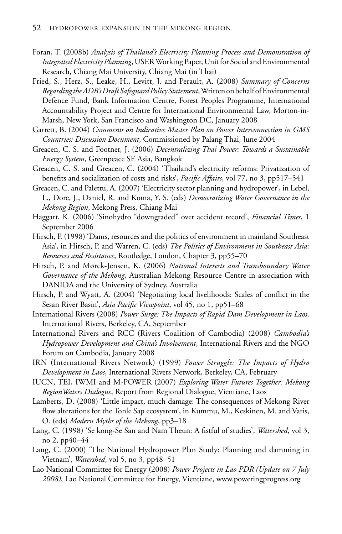- Foran, T. (2008b) *Analysis of Thailand's Electricity Planning Process and Demonstration of Integrated Electricity Planning*, USER Working Paper, Unit for Social and Environmental Research, Chiang Mai University, Chiang Mai (in Thai)
- Fried, S., Herz, S., Leake, H., Levitt, J. and Perault, A. (2008) *Summary of Concerns Regarding the ADB's Draft Safeguard Policy Statement*,Written on behalf of Environmental Defence Fund, Bank Information Centre, Forest Peoples Programme, International Accountability Project and Centre for International Environmental Law, Morton-in-Marsh, New York, San Francisco and Washington DC, January 2008
- Garrett, B. (2004) *Comments on Indicative Master Plan on Power Interconnection in GMS Countries: Discussion Document*, Commissioned by Palang Thai, June 2004
- Greacen, C. S. and Footner, J. (2006) *Decentralizing Thai Power: Towards a Sustainable Energy System*, Greenpeace SE Asia, Bangkok
- Greacen, C. S. and Greacen, C. (2004) 'Thailand's electricity reforms: Privatization of benefits and socialization of costs and risks', *Pacific Affairs*, vol 77, no 3, pp517-541
- Greacen, C. and Palettu, A. (2007) 'Electricity sector planning and hydropower', in Lebel, L., Dore, J., Daniel, R. and Koma, Y. S. (eds) *Democratizing Water Governance in the Mekong Region*, Mekong Press, Chiang Mai
- Haggart, K. (2006) 'Sinohydro "downgraded" over accident record', *Financial Times*, 1 September 2006
- Hirsch, P. (1998) 'Dams, resources and the politics of environment in mainland Southeast Asia', in Hirsch, P. and Warren, C. (eds) *The Politics of Environment in Southeast Asia: Resources and Resistance*, Routledge, London, Chapter 3, pp55–70
- Hirsch, P. and Mørck-Jensen, K. (2006) *National Interests and Transboundary Water Governance of the Mekong*, Australian Mekong Resource Centre in association with DANIDA and the University of Sydney, Australia
- Hirsch, P. and Wyatt, A. (2004) 'Negotiating local livelihoods: Scales of conflict in the Sesan River Basin', *Asia Pacific Viewpoint*, vol 45, no 1, pp51-68
- International Rivers (2008) *Power Surge: The Impacts of Rapid Dam Development in Laos,* International Rivers, Berkeley, CA, September
- International Rivers and RCC (Rivers Coalition of Cambodia) (2008) *Cambodia's Hydropower Development and China's Involvement*, International Rivers and the NGO Forum on Cambodia, January 2008
- IRN (International Rivers Network) (1999) *Power Struggle: The Impacts of Hydro Development in Laos*, International Rivers Network, Berkeley, CA, February
- IUCN, TEI, IWMI and M-POWER (2007) *Exploring Water Futures Together: Mekong RegionWaters Dialogue*, Report from Regional Dialogue, Vientiane, Laos
- Lamberts, D. (2008) 'Little impact, much damage: The consequences of Mekong River flow alterations for the Tonle Sap ecosystem', in Kummu, M., Keskinen, M. and Varis, O. (eds) *Modern Myths of the Mekong*, pp3–18
- Lang, C. (1998) 'Se kong-Se San and Nam Theun: A fistful of studies', *Watershed*, vol 3, no 2, pp40–44
- Lang, C. (2000) 'The National Hydropower Plan Study: Planning and damming in Vietnam', *Watershed*, vol 5, no 3, pp48–51
- Lao National Committee for Energy (2008) *Power Projects in Lao PDR (Update on 7 July 2008)*, Lao National Committee for Energy, Vientiane, www.poweringprogress.org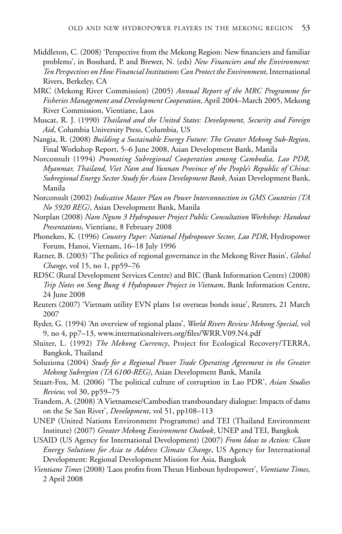- Middleton, C. (2008) 'Perspective from the Mekong Region: New financiers and familiar problems', in Bosshard, P. and Brewer, N. (eds) *New Financiers and the Environment: Ten Perspectives on How Financial Institutions Can Protect the Environment*, International Rivers, Berkeley, CA
- MRC (Mekong River Commission) (2005) *Annual Report of the MRC Programme for Fisheries Management and Development Cooperation*, April 2004–March 2005, Mekong River Commission, Vientiane, Laos
- Muscat, R. J. (1990) *Thailand and the United States: Development, Security and Foreign Aid*, Columbia University Press, Columbia, US
- Nangia, R. (2008) *Building a Sustainable Energy Future: The Greater Mekong Sub-Region*, Final Workshop Report, 5–6 June 2008, Asian Development Bank, Manila
- Norconsult (1994) *Promoting Subregional Cooperation among Cambodia, Lao PDR, Myanmar, Thailand, Viet Nam and Yunnan Province of the People's Republic of China: Subregional Energy Sector Study for Asian Development Bank*, Asian Development Bank, Manila
- Norconsult (2002) *Indicative Master Plan on Power Interconnection in GMS Countries (TA No 5920 REG)*, Asian Development Bank, Manila
- Norplan (2008) *Nam Ngum 3 Hydropower Project Public Consultation Workshop: Handout Presentations*, Vientiane, 8 February 2008
- Phonekeo, K. (1996) *Country Paper: National Hydropower Sector, Lao PDR*, Hydropower Forum, Hanoi, Vietnam, 16–18 July 1996
- Ratner, B. (2003) 'The politics of regional governance in the Mekong River Basin', *Global Change*, vol 15, no 1, pp59–76
- RDSC (Rural Development Services Centre) and BIC (Bank Information Centre) (2008) *Trip Notes on Song Bung 4 Hydropower Project in Vietnam*, Bank Information Centre, 24 June 2008
- Reuters (2007) 'Vietnam utility EVN plans 1st overseas bonds issue', Reuters, 21 March 2007
- Ryder, G. (1994) 'An overview of regional plans', *World Rivers Review Mekong Special*, vol 9, no 4, pp7-13, www.internationalrivers.org/files/WRR.V09.N4.pdf
- Sluiter, L. (1992) *The Mekong Currency*, Project for Ecological Recovery/TERRA, Bangkok, Thailand
- Soluziona (2004) *Study for a Regional Power Trade Operating Agreement in the Greater Mekong Subregion (TA 6100-REG)*, Asian Development Bank, Manila
- Stuart-Fox, M. (2006) 'The political culture of corruption in Lao PDR', *Asian Studies Review,* vol 30, pp59–75
- Trandem, A. (2008) 'A Vietnamese/Cambodian transboundary dialogue: Impacts of dams on the Se San River', *Development*, vol 51, pp108–113
- UNEP (United Nations Environment Programme) and TEI (Thailand Environment Institute) (2007) *Greater Mekong Environment Outlook*, UNEP and TEI, Bangkok
- USAID (US Agency for International Development) (2007) *From Ideas to Action: Clean Energy Solutions for Asia to Address Climate Change*, US Agency for International Development: Regional Development Mission for Asia, Bangkok
- *Vientiane Times* (2008) 'Laos profits from Theun Hinboun hydropower', *Vientiane Times*, 2 April 2008